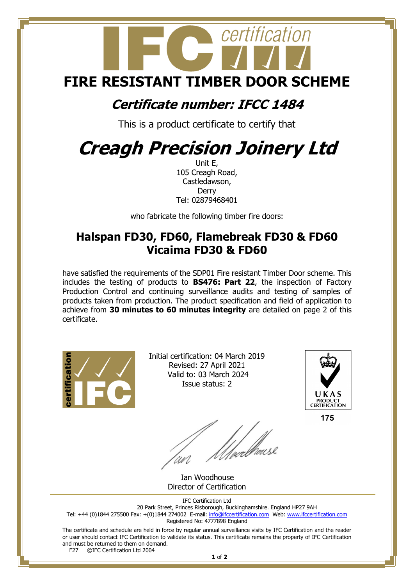

## **Certificate number: IFCC 1484**

This is a product certificate to certify that

## **Creagh Precision Joinery Ltd**

Unit E, 105 Creagh Road, Castledawson, **Derry** Tel: 02879468401

who fabricate the following timber fire doors:

## **Halspan FD30, FD60, Flamebreak FD30 & FD60 Vicaima FD30 & FD60**

have satisfied the requirements of the SDP01 Fire resistant Timber Door scheme. This includes the testing of products to **BS476: Part 22**, the inspection of Factory Production Control and continuing surveillance audits and testing of samples of products taken from production. The product specification and field of application to achieve from **30 minutes to 60 minutes integrity** are detailed on page 2 of this certificate.



Initial certification: 04 March 2019 Revised: 27 April 2021 Valid to: 03 March 2024 Issue status: 2



175

 Ian Woodhouse Director of Certification

IFC Certification Ltd 20 Park Street, Princes Risborough, Buckinghamshire. England HP27 9AH Tel: +44 (0)1844 275500 Fax: +(0)1844 274002 E-mail[: info@ifccertification.com](mailto:info@ifccertification.com) Web: [www.ifccertification.com](http://www.ifccertification.com/) Registered No: 4777898 England

The certificate and schedule are held in force by regular annual surveillance visits by IFC Certification and the reader or user should contact IFC Certification to validate its status. This certificate remains the property of IFC Certification and must be returned to them on demand.<br>F27  $\bigcirc$  C<sub>Prefi</sub>gnation Ltd 2004

©IFC Certification Ltd 2004